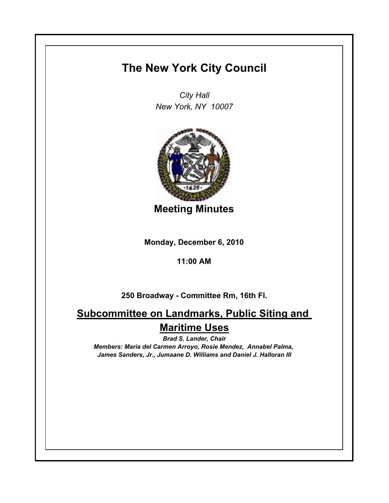## **The New York City Council**

*City Hall New York, NY 10007*



**Meeting Minutes**

**Monday, December 6, 2010**

**11:00 AM**

**250 Broadway - Committee Rm, 16th Fl.**

**Subcommittee on Landmarks, Public Siting and Maritime Uses**

*Brad S. Lander, Chair Members: Maria del Carmen Arroyo, Rosie Mendez, Annabel Palma, James Sanders, Jr., Jumaane D. Williams and Daniel J. Halloran III*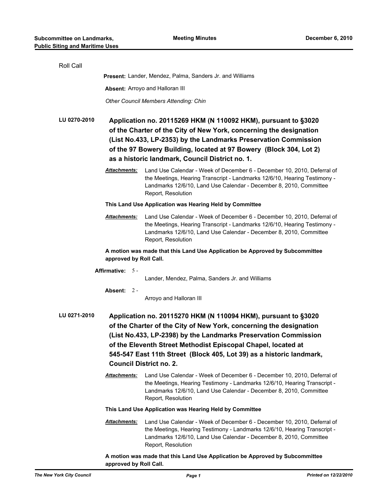| Roll Call                                               |                                                                                                                                                                                                                                                                                                                                                                                    |                                                                                                                                                                                                                                                                                                                                  |  |
|---------------------------------------------------------|------------------------------------------------------------------------------------------------------------------------------------------------------------------------------------------------------------------------------------------------------------------------------------------------------------------------------------------------------------------------------------|----------------------------------------------------------------------------------------------------------------------------------------------------------------------------------------------------------------------------------------------------------------------------------------------------------------------------------|--|
|                                                         |                                                                                                                                                                                                                                                                                                                                                                                    | Present: Lander, Mendez, Palma, Sanders Jr. and Williams                                                                                                                                                                                                                                                                         |  |
|                                                         | Absent: Arroyo and Halloran III                                                                                                                                                                                                                                                                                                                                                    |                                                                                                                                                                                                                                                                                                                                  |  |
|                                                         |                                                                                                                                                                                                                                                                                                                                                                                    | <b>Other Council Members Attending: Chin</b>                                                                                                                                                                                                                                                                                     |  |
| LU 0270-2010                                            |                                                                                                                                                                                                                                                                                                                                                                                    | Application no. 20115269 HKM (N 110092 HKM), pursuant to §3020<br>of the Charter of the City of New York, concerning the designation<br>(List No.433, LP-2353) by the Landmarks Preservation Commission<br>of the 97 Bowery Building, located at 97 Bowery (Block 304, Lot 2)<br>as a historic landmark, Council District no. 1. |  |
|                                                         | <b>Attachments:</b>                                                                                                                                                                                                                                                                                                                                                                | Land Use Calendar - Week of December 6 - December 10, 2010, Deferral of<br>the Meetings, Hearing Transcript - Landmarks 12/6/10, Hearing Testimony -<br>Landmarks 12/6/10, Land Use Calendar - December 8, 2010, Committee<br>Report, Resolution                                                                                 |  |
| This Land Use Application was Hearing Held by Committee |                                                                                                                                                                                                                                                                                                                                                                                    |                                                                                                                                                                                                                                                                                                                                  |  |
|                                                         | Attachments:                                                                                                                                                                                                                                                                                                                                                                       | Land Use Calendar - Week of December 6 - December 10, 2010, Deferral of<br>the Meetings, Hearing Transcript - Landmarks 12/6/10, Hearing Testimony -<br>Landmarks 12/6/10, Land Use Calendar - December 8, 2010, Committee<br>Report, Resolution                                                                                 |  |
|                                                         | approved by Roll Call.                                                                                                                                                                                                                                                                                                                                                             | A motion was made that this Land Use Application be Approved by Subcommittee                                                                                                                                                                                                                                                     |  |
|                                                         | Affirmative: 5 -                                                                                                                                                                                                                                                                                                                                                                   |                                                                                                                                                                                                                                                                                                                                  |  |
|                                                         |                                                                                                                                                                                                                                                                                                                                                                                    | Lander, Mendez, Palma, Sanders Jr. and Williams                                                                                                                                                                                                                                                                                  |  |
|                                                         | Absent: $2 -$                                                                                                                                                                                                                                                                                                                                                                      | Arroyo and Halloran III                                                                                                                                                                                                                                                                                                          |  |
| LU 0271-2010                                            | Application no. 20115270 HKM (N 110094 HKM), pursuant to §3020<br>of the Charter of the City of New York, concerning the designation<br>(List No.433, LP-2398) by the Landmarks Preservation Commission<br>of the Eleventh Street Methodist Episcopal Chapel, located at<br>545-547 East 11th Street (Block 405, Lot 39) as a historic landmark,<br><b>Council District no. 2.</b> |                                                                                                                                                                                                                                                                                                                                  |  |
|                                                         | <b>Attachments:</b>                                                                                                                                                                                                                                                                                                                                                                | Land Use Calendar - Week of December 6 - December 10, 2010, Deferral of<br>the Meetings, Hearing Testimony - Landmarks 12/6/10, Hearing Transcript -<br>Landmarks 12/6/10, Land Use Calendar - December 8, 2010, Committee<br>Report, Resolution                                                                                 |  |
|                                                         |                                                                                                                                                                                                                                                                                                                                                                                    | This Land Use Application was Hearing Held by Committee                                                                                                                                                                                                                                                                          |  |
|                                                         | <b>Attachments:</b>                                                                                                                                                                                                                                                                                                                                                                | Land Use Calendar - Week of December 6 - December 10, 2010, Deferral of<br>the Meetings, Hearing Testimony - Landmarks 12/6/10, Hearing Transcript -<br>Landmarks 12/6/10, Land Use Calendar - December 8, 2010, Committee<br>Report, Resolution                                                                                 |  |
|                                                         | A motion was made that this Land Use Application be Approved by Subcommittee<br>approved by Roll Call.                                                                                                                                                                                                                                                                             |                                                                                                                                                                                                                                                                                                                                  |  |